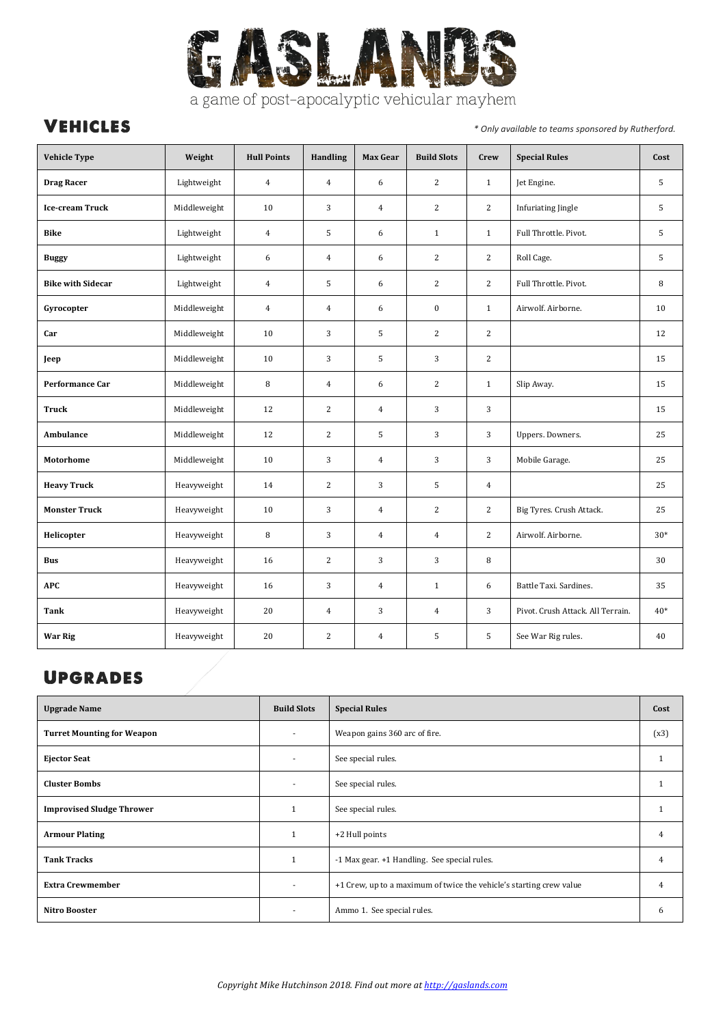

## a game of post-apocalyptic vehicular mayhem

**VEHICLES** *<i>i* and *the set of the sponsored by Rutherford.* 

| <b>Vehicle Type</b>      | Weight       | <b>Hull Points</b> | <b>Handling</b> | Max Gear       | <b>Build Slots</b> | Crew           | <b>Special Rules</b>              | Cost  |
|--------------------------|--------------|--------------------|-----------------|----------------|--------------------|----------------|-----------------------------------|-------|
| <b>Drag Racer</b>        | Lightweight  | $\overline{4}$     | $\overline{4}$  | 6              | 2                  | $\mathbf{1}$   | Jet Engine.                       | 5     |
| Ice-cream Truck          | Middleweight | 10                 | 3               | $\overline{4}$ | $\overline{c}$     | $\overline{c}$ | <b>Infuriating Jingle</b>         | 5     |
| <b>Bike</b>              | Lightweight  | $\overline{4}$     | 5               | 6              | $\mathbf{1}$       | $\mathbf{1}$   | Full Throttle. Pivot.             | 5     |
| <b>Buggy</b>             | Lightweight  | 6                  | $\overline{4}$  | 6              | $\overline{c}$     | $\overline{c}$ | Roll Cage.                        | 5     |
| <b>Bike with Sidecar</b> | Lightweight  | $\overline{4}$     | 5               | 6              | $\overline{c}$     | $\overline{c}$ | Full Throttle. Pivot.             | 8     |
| Gyrocopter               | Middleweight | $\overline{4}$     | $\overline{4}$  | 6              | $\bf{0}$           | $\mathbf{1}$   | Airwolf. Airborne.                | 10    |
| Car                      | Middleweight | 10                 | 3               | 5              | $\overline{c}$     | $\overline{c}$ |                                   | 12    |
| Jeep                     | Middleweight | 10                 | 3               | 5              | 3                  | $\overline{c}$ |                                   | 15    |
| Performance Car          | Middleweight | $\, 8$             | $\overline{4}$  | 6              | $\overline{c}$     | $\mathbf{1}$   | Slip Away.                        | 15    |
| <b>Truck</b>             | Middleweight | 12                 | $\sqrt{2}$      | $\overline{4}$ | 3                  | 3              |                                   | 15    |
| <b>Ambulance</b>         | Middleweight | 12                 | $\overline{2}$  | 5              | 3                  | 3              | Uppers. Downers.                  | 25    |
| <b>Motorhome</b>         | Middleweight | 10                 | 3               | $\overline{4}$ | 3                  | 3              | Mobile Garage.                    | 25    |
| <b>Heavy Truck</b>       | Heavyweight  | 14                 | $\overline{c}$  | 3              | 5                  | $\overline{4}$ |                                   | 25    |
| <b>Monster Truck</b>     | Heavyweight  | 10                 | 3               | $\overline{4}$ | $\sqrt{2}$         | $\overline{c}$ | Big Tyres. Crush Attack.          | 25    |
| Helicopter               | Heavyweight  | 8                  | 3               | $\overline{4}$ | $\overline{4}$     | 2              | Airwolf. Airborne.                | $30*$ |
| <b>Bus</b>               | Heavyweight  | 16                 | $\overline{2}$  | 3              | 3                  | 8              |                                   | 30    |
| <b>APC</b>               | Heavyweight  | 16                 | 3               | $\overline{4}$ | $\mathbf{1}$       | 6              | Battle Taxi. Sardines.            | 35    |
| Tank                     | Heavyweight  | 20                 | $\overline{4}$  | 3              | $\overline{4}$     | 3              | Pivot. Crush Attack. All Terrain. | $40*$ |
| <b>War Rig</b>           | Heavyweight  | 20                 | $\sqrt{2}$      | $\overline{4}$ | 5                  | 5              | See War Rig rules.                | 40    |

# **UPGRADES**

| <b>Upgrade Name</b>               | <b>Build Slots</b> | <b>Special Rules</b>                                                |      |  |
|-----------------------------------|--------------------|---------------------------------------------------------------------|------|--|
| <b>Turret Mounting for Weapon</b> |                    | Weapon gains 360 arc of fire.                                       | (x3) |  |
| <b>Ejector Seat</b>               |                    | See special rules.                                                  |      |  |
| <b>Cluster Bombs</b>              | ٠                  | See special rules.                                                  |      |  |
| <b>Improvised Sludge Thrower</b>  |                    | See special rules.                                                  |      |  |
| <b>Armour Plating</b>             | 1                  | +2 Hull points                                                      | 4    |  |
| <b>Tank Tracks</b>                |                    | -1 Max gear. +1 Handling. See special rules.                        | 4    |  |
| <b>Extra Crewmember</b>           | ۰                  | +1 Crew, up to a maximum of twice the vehicle's starting crew value | 4    |  |
| Nitro Booster                     |                    | Ammo 1. See special rules.                                          | n    |  |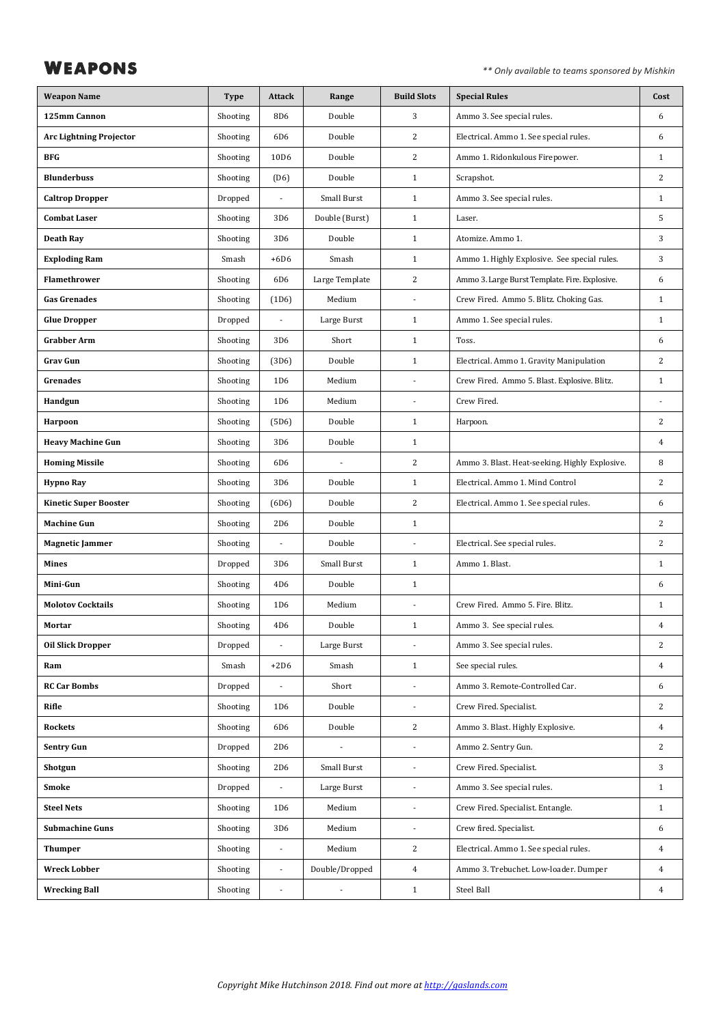**WEAPONS** *\*\** Only available to teams sponsored by Mishkin

| <b>Weapon Name</b>             | <b>Type</b> | <b>Attack</b>    | Range          | <b>Build Slots</b>       | <b>Special Rules</b>                           | Cost           |
|--------------------------------|-------------|------------------|----------------|--------------------------|------------------------------------------------|----------------|
| 125mm Cannon                   | Shooting    | 8D <sub>6</sub>  | Double         | 3                        | Ammo 3. See special rules.                     | 6              |
| <b>Arc Lightning Projector</b> | Shooting    | 6D <sub>6</sub>  | Double         | $\overline{2}$           | Electrical. Ammo 1. See special rules.         | 6              |
| <b>BFG</b>                     | Shooting    | 10D <sub>6</sub> | Double         | $\overline{2}$           | Ammo 1. Ridonkulous Firepower.                 | $\mathbf{1}$   |
| <b>Blunderbuss</b>             | Shooting    | (D6)             | Double         | $\mathbf{1}$             | Scrapshot.                                     | $\overline{2}$ |
| <b>Caltrop Dropper</b>         | Dropped     | $\blacksquare$   | Small Burst    | $\mathbf{1}$             | Ammo 3. See special rules.                     | $\mathbf{1}$   |
| <b>Combat Laser</b>            | Shooting    | 3D <sub>6</sub>  | Double (Burst) | $\mathbf{1}$             | Laser.                                         | 5              |
| <b>Death Ray</b>               | Shooting    | 3D <sub>6</sub>  | Double         | $\mathbf{1}$             | Atomize. Ammo 1.                               | 3              |
| <b>Exploding Ram</b>           | Smash       | $+6D6$           | Smash          | $\mathbf{1}$             | Ammo 1. Highly Explosive. See special rules.   | 3              |
| Flamethrower                   | Shooting    | 6D <sub>6</sub>  | Large Template | $\overline{2}$           | Ammo 3. Large Burst Template. Fire. Explosive. | 6              |
| <b>Gas Grenades</b>            | Shooting    | (1D6)            | Medium         | ÷,                       | Crew Fired. Ammo 5. Blitz. Choking Gas.        | $\mathbf{1}$   |
| <b>Glue Dropper</b>            | Dropped     | ÷,               | Large Burst    | $\mathbf{1}$             | Ammo 1. See special rules.                     | $\mathbf{1}$   |
| <b>Grabber Arm</b>             | Shooting    | 3D <sub>6</sub>  | Short          | $\mathbf{1}$             | Toss.                                          | 6              |
| <b>Grav Gun</b>                | Shooting    | (3D6)            | Double         | $\mathbf{1}$             | Electrical. Ammo 1. Gravity Manipulation       | $\overline{c}$ |
| Grenades                       | Shooting    | 1D <sub>6</sub>  | Medium         | $\overline{a}$           | Crew Fired. Ammo 5. Blast. Explosive. Blitz.   | $\mathbf{1}$   |
| Handgun                        | Shooting    | 1D <sub>6</sub>  | Medium         | $\overline{a}$           | Crew Fired.                                    | ÷,             |
| Harpoon                        | Shooting    | (5D6)            | Double         | $\mathbf{1}$             | Harpoon.                                       | $\overline{c}$ |
| <b>Heavy Machine Gun</b>       | Shooting    | 3D <sub>6</sub>  | Double         | $\mathbf{1}$             |                                                | $\overline{4}$ |
| <b>Homing Missile</b>          | Shooting    | 6D <sub>6</sub>  |                | $\overline{c}$           | Ammo 3. Blast. Heat-seeking. Highly Explosive. | 8              |
| <b>Hypno Ray</b>               | Shooting    | 3D <sub>6</sub>  | Double         | $\mathbf{1}$             | Electrical. Ammo 1. Mind Control               | $\overline{2}$ |
| <b>Kinetic Super Booster</b>   | Shooting    | (6D6)            | Double         | $\overline{2}$           | Electrical. Ammo 1. See special rules.         | 6              |
| <b>Machine Gun</b>             | Shooting    | 2D <sub>6</sub>  | Double         | $1\,$                    |                                                | $\overline{2}$ |
| <b>Magnetic Jammer</b>         | Shooting    |                  | Double         | ä,                       | Electrical. See special rules.                 | $\overline{2}$ |
| Mines                          | Dropped     | 3D <sub>6</sub>  | Small Burst    | $\mathbf{1}$             | Ammo 1. Blast.                                 | $\mathbf{1}$   |
| Mini-Gun                       | Shooting    | 4D <sub>6</sub>  | Double         | $\mathbf{1}$             |                                                | 6              |
| <b>Molotov Cocktails</b>       | Shooting    | 1D <sub>6</sub>  | Medium         |                          | Crew Fired. Ammo 5. Fire. Blitz.               | $\mathbf{1}$   |
| Mortar                         | Shooting    | 4D <sub>6</sub>  | Double         | $\mathbf{1}$             | Ammo 3. See special rules.                     | $\overline{4}$ |
| <b>Oil Slick Dropper</b>       | Dropped     |                  | Large Burst    |                          | Ammo 3. See special rules.                     | $\overline{c}$ |
| Ram                            | Smash       | $+2D6$           | Smash          | $\mathbf{1}$             | See special rules.                             | $\overline{4}$ |
| <b>RC Car Bombs</b>            | Dropped     | $\overline{a}$   | Short          | ÷,                       | Ammo 3. Remote-Controlled Car.                 | 6              |
| Rifle                          | Shooting    | 1D <sub>6</sub>  | Double         | $\blacksquare$           | Crew Fired. Specialist.                        | $\overline{c}$ |
| <b>Rockets</b>                 | Shooting    | 6D6              | Double         | $\overline{2}$           | Ammo 3. Blast. Highly Explosive.               | $\overline{4}$ |
| <b>Sentry Gun</b>              | Dropped     | 2D <sub>6</sub>  |                |                          | Ammo 2. Sentry Gun.                            | $\overline{c}$ |
| Shotgun                        | Shooting    | 2D <sub>6</sub>  | Small Burst    | $\blacksquare$           | Crew Fired. Specialist.                        | 3              |
| Smoke                          | Dropped     | $\overline{a}$   | Large Burst    | $\overline{a}$           | Ammo 3. See special rules.                     | $\mathbf{1}$   |
| <b>Steel Nets</b>              | Shooting    | 1D <sub>6</sub>  | Medium         | $\overline{\phantom{a}}$ | Crew Fired. Specialist. Entangle.              | $\mathbf{1}$   |
| <b>Submachine Guns</b>         | Shooting    | 3D <sub>6</sub>  | Medium         |                          | Crew fired. Specialist.                        | 6              |
| <b>Thumper</b>                 | Shooting    | $\blacksquare$   | Medium         | $\overline{2}$           | Electrical. Ammo 1. See special rules.         | $\overline{4}$ |
| <b>Wreck Lobber</b>            | Shooting    | $\blacksquare$   | Double/Dropped | $\overline{4}$           | Ammo 3. Trebuchet. Low-loader. Dumper          | $\overline{4}$ |
| <b>Wrecking Ball</b>           | Shooting    | $\blacksquare$   |                | $\mathbf{1}$             | Steel Ball                                     | $\overline{4}$ |